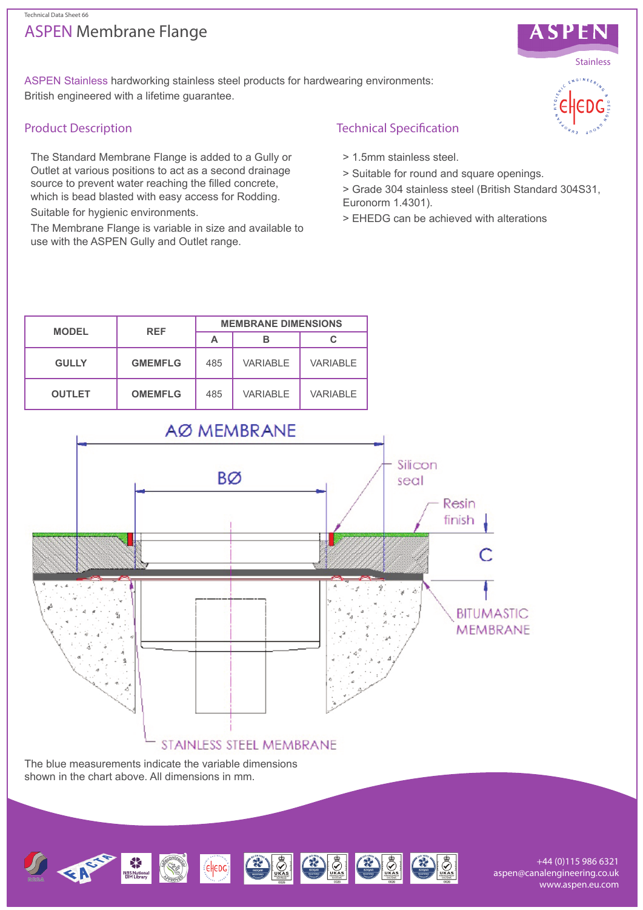## ASPEN Membrane Flange Technical Data Sheet 66



ASPEN Stainless hardworking stainless steel products for hardwearing environments: British engineered with a lifetime guarantee.

#### Product Description

The Standard Membrane Flange is added to a Gully or Outlet at various positions to act as a second drainage source to prevent water reaching the filled concrete, which is bead blasted with easy access for Rodding.

Suitable for hygienic environments.

The Membrane Flange is variable in size and available to use with the ASPEN Gully and Outlet range.

## Technical Specification

- > 1.5mm stainless steel.
- > Suitable for round and square openings.
- > Grade 304 stainless steel (British Standard 304S31, Euronorm 1.4301).
- > EHEDG can be achieved with alterations



STAINLESS STEEL MEMBRANE

The blue measurements indicate the variable dimensions shown in the chart above. All dimensions in mm.



+44 (0)115 986 6321 aspen@canalengineering.co.uk www.aspen.eu.com